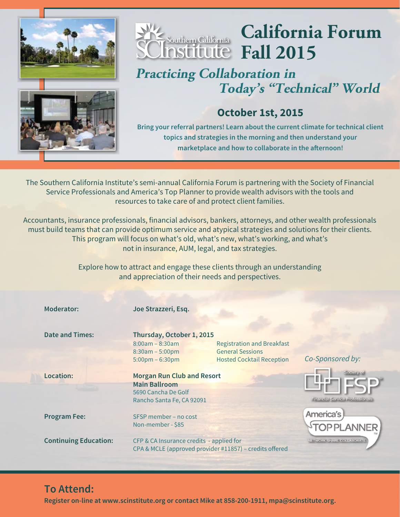



# **California Forum Fall 2015**

## **Practicing Collaboration in Today's "Technical" World**



## **October 1st, 2015**

**Bring your referral partners! Learn about the current climate for technical client topics and strategies in the morning and then understand your** marketplace and how to collaborate in the afternoon!

The Southern California Institute's semi-annual California Forum is partnering with the Society of Financial Service Professionals and America's Top Planner to provide wealth advisors with the tools and resources to take care of and protect client families.

Accountants, insurance professionals, financial advisors, bankers, attorneys, and other wealth professionals must build teams that can provide optimum service and atypical strategies and solutions for their clients. This program will focus on what's old, what's new, what's working, and what's not in insurance, AUM, legal, and tax strategies.

> Explore how to attract and engage these clients through an understanding and appreciation of their needs and perspectives.

| <b>Moderator:</b>            | Joe Strazzeri, Esq.                                                                                           |                                                                                                  |                                 |
|------------------------------|---------------------------------------------------------------------------------------------------------------|--------------------------------------------------------------------------------------------------|---------------------------------|
| <b>Date and Times:</b>       | Thursday, October 1, 2015<br>$8:00am - 8:30am$<br>$8:30am - 5:00pm$<br>$5:00 \text{pm} - 6:30 \text{pm}$      | <b>Registration and Breakfast</b><br><b>General Sessions</b><br><b>Hosted Cocktail Reception</b> | Co-Sponsored by:                |
| Location:                    | <b>Morgan Run Club and Resort</b><br><b>Main Ballroom</b><br>5690 Cancha De Golf<br>Rancho Santa Fe, CA 92091 |                                                                                                  | Financial Service Professionals |
| <b>Program Fee:</b>          | SFSP member - no cost<br>Non-member - \$85                                                                    |                                                                                                  | America's                       |
| <b>Continuing Education:</b> | CFP & CA Insurance credits - applied for                                                                      | CPA & MCLE (approved provider #11857) - credits offered                                          | NETWORK SHARE COLLADORATE       |

## **To Attend:**

**Register on-line at www.scinstitute.org or contact Mike at 858-200-1911, mpa@scinstitute.org.**